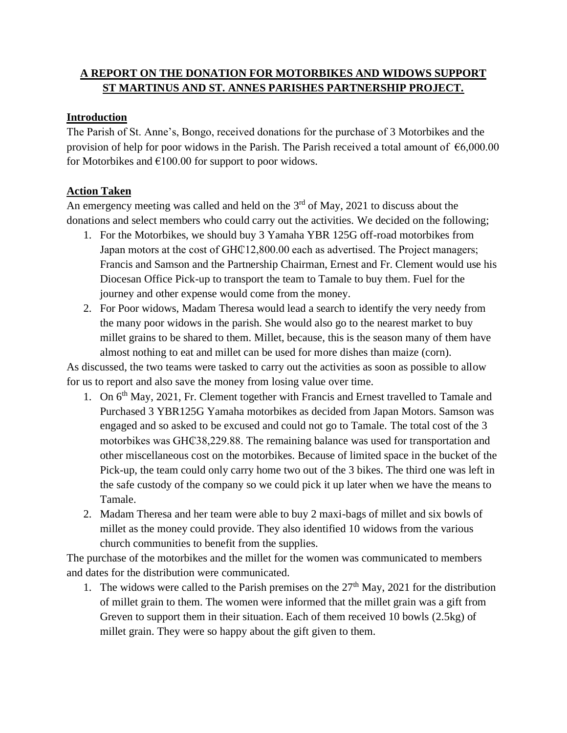## **A REPORT ON THE DONATION FOR MOTORBIKES AND WIDOWS SUPPORT ST MARTINUS AND ST. ANNES PARISHES PARTNERSHIP PROJECT.**

## **Introduction**

The Parish of St. Anne's, Bongo, received donations for the purchase of 3 Motorbikes and the provision of help for poor widows in the Parish. The Parish received a total amount of  $\epsilon$ 6,000.00 for Motorbikes and  $\epsilon$ 100.00 for support to poor widows.

## **Action Taken**

An emergency meeting was called and held on the  $3<sup>rd</sup>$  of May, 2021 to discuss about the donations and select members who could carry out the activities. We decided on the following;

- 1. For the Motorbikes, we should buy 3 Yamaha YBR 125G off-road motorbikes from Japan motors at the cost of GH $\textcircled{12,800.00}}$  each as advertised. The Project managers; Francis and Samson and the Partnership Chairman, Ernest and Fr. Clement would use his Diocesan Office Pick-up to transport the team to Tamale to buy them. Fuel for the journey and other expense would come from the money.
- 2. For Poor widows, Madam Theresa would lead a search to identify the very needy from the many poor widows in the parish. She would also go to the nearest market to buy millet grains to be shared to them. Millet, because, this is the season many of them have almost nothing to eat and millet can be used for more dishes than maize (corn).

As discussed, the two teams were tasked to carry out the activities as soon as possible to allow for us to report and also save the money from losing value over time.

- 1. On 6<sup>th</sup> May, 2021, Fr. Clement together with Francis and Ernest travelled to Tamale and Purchased 3 YBR125G Yamaha motorbikes as decided from Japan Motors. Samson was engaged and so asked to be excused and could not go to Tamale. The total cost of the 3 motorbikes was GHC38,229.88. The remaining balance was used for transportation and other miscellaneous cost on the motorbikes. Because of limited space in the bucket of the Pick-up, the team could only carry home two out of the 3 bikes. The third one was left in the safe custody of the company so we could pick it up later when we have the means to Tamale.
- 2. Madam Theresa and her team were able to buy 2 maxi-bags of millet and six bowls of millet as the money could provide. They also identified 10 widows from the various church communities to benefit from the supplies.

The purchase of the motorbikes and the millet for the women was communicated to members and dates for the distribution were communicated.

1. The widows were called to the Parish premises on the  $27<sup>th</sup>$  May, 2021 for the distribution of millet grain to them. The women were informed that the millet grain was a gift from Greven to support them in their situation. Each of them received 10 bowls (2.5kg) of millet grain. They were so happy about the gift given to them.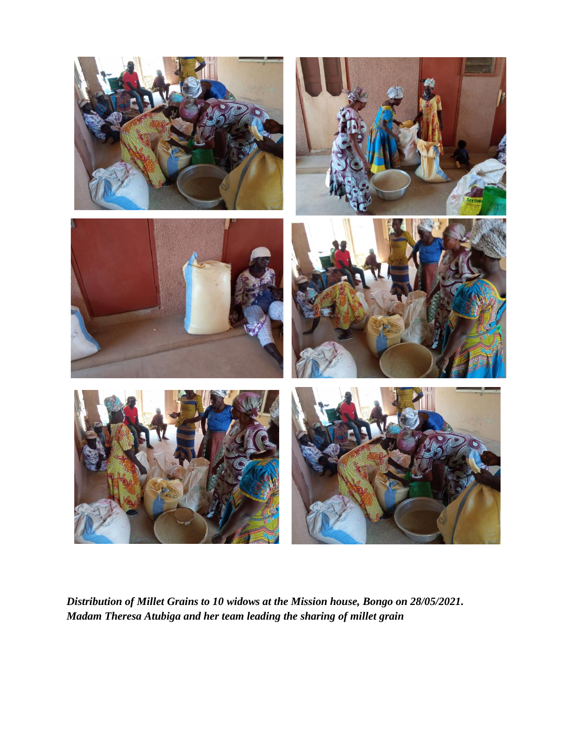

*Distribution of Millet Grains to 10 widows at the Mission house, Bongo on 28/05/2021. Madam Theresa Atubiga and her team leading the sharing of millet grain*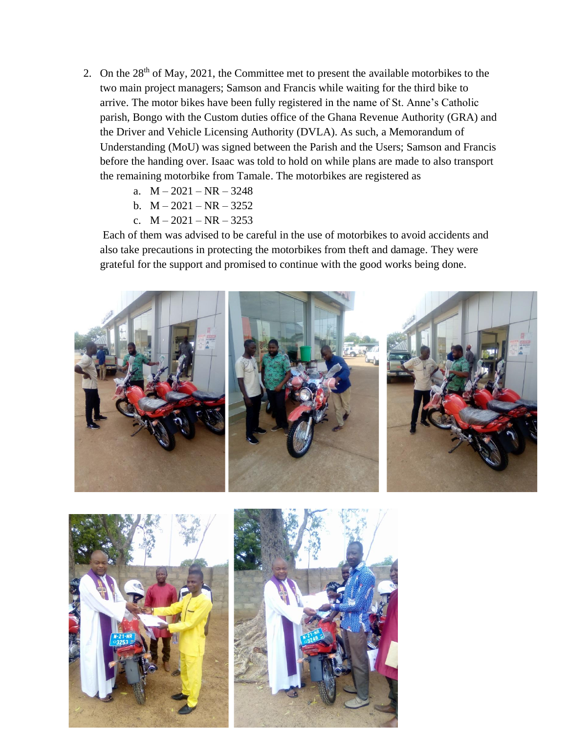- 2. On the  $28<sup>th</sup>$  of May, 2021, the Committee met to present the available motorbikes to the two main project managers; Samson and Francis while waiting for the third bike to arrive. The motor bikes have been fully registered in the name of St. Anne's Catholic parish, Bongo with the Custom duties office of the Ghana Revenue Authority (GRA) and the Driver and Vehicle Licensing Authority (DVLA). As such, a Memorandum of Understanding (MoU) was signed between the Parish and the Users; Samson and Francis before the handing over. Isaac was told to hold on while plans are made to also transport the remaining motorbike from Tamale. The motorbikes are registered as
	- a.  $M 2021 NR 3248$
	- b.  $M 2021 NR 3252$
	- c.  $M 2021 NR 3253$

Each of them was advised to be careful in the use of motorbikes to avoid accidents and also take precautions in protecting the motorbikes from theft and damage. They were grateful for the support and promised to continue with the good works being done.